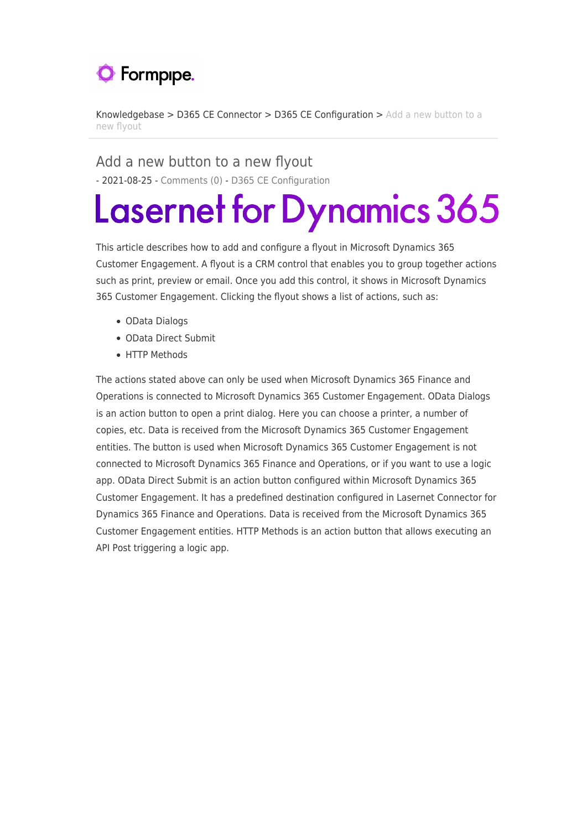## **O** Formpipe.

[Knowledgebase](https://support.formpipe.com/kb) > [D365 CE Connector](https://support.formpipe.com/kb/d365-ce-connector) > [D365 CE Configuration](https://support.formpipe.com/kb/d365-ce-configuration) > [Add a new button to a](https://support.formpipe.com/kb/articles/add-a-new-button-to-a-new-flyout) [new flyout](https://support.formpipe.com/kb/articles/add-a-new-button-to-a-new-flyout)

Add a new button to a new flyout - 2021-08-25 - [Comments \(0\)](#page--1-0) - [D365 CE Configuration](https://support.formpipe.com/kb/d365-ce-configuration)

## **Lasernet for Dynamics 365**

This article describes how to add and configure a flyout in Microsoft Dynamics 365 Customer Engagement. A flyout is a CRM control that enables you to group together actions such as print, preview or email. Once you add this control, it shows in Microsoft Dynamics 365 Customer Engagement. Clicking the flyout shows a list of actions, such as:

- OData Dialogs
- OData Direct Submit
- HTTP Methods

The actions stated above can only be used when Microsoft Dynamics 365 Finance and Operations is connected to Microsoft Dynamics 365 Customer Engagement. OData Dialogs is an action button to open a print dialog. Here you can choose a printer, a number of copies, etc. Data is received from the Microsoft Dynamics 365 Customer Engagement entities. The button is used when Microsoft Dynamics 365 Customer Engagement is not connected to Microsoft Dynamics 365 Finance and Operations, or if you want to use a logic app. OData Direct Submit is an action button configured within Microsoft Dynamics 365 Customer Engagement. It has a predefined destination configured in Lasernet Connector for Dynamics 365 Finance and Operations. Data is received from the Microsoft Dynamics 365 Customer Engagement entities. HTTP Methods is an action button that allows executing an API Post triggering a logic app.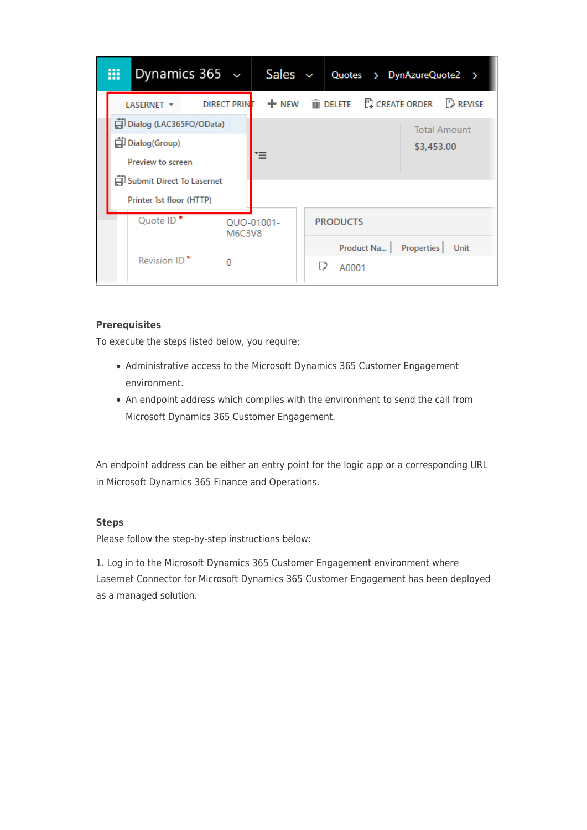| 噩                        | Dynamics 365 $\sim$       |                    |        | Sales      | $\checkmark$                     |                 |  | Quotes > DynAzureQuote2 >                                        |                     |  |
|--------------------------|---------------------------|--------------------|--------|------------|----------------------------------|-----------------|--|------------------------------------------------------------------|---------------------|--|
|                          | LASERNET -                | <b>DIRECT PRIN</b> |        |            |                                  |                 |  | $+$ NEW $\bar{m}$ DELETE $\bar{m}$ CREATE ORDER $\bar{m}$ REVISE |                     |  |
|                          | 口 Dialog (LAC365FO/OData) |                    |        |            |                                  |                 |  |                                                                  | <b>Total Amount</b> |  |
|                          | 白 Dialog(Group)           |                    |        |            |                                  |                 |  | \$3,453.00                                                       |                     |  |
|                          | Preview to screen         |                    |        |            |                                  |                 |  |                                                                  |                     |  |
|                          | Submit Direct To Lasernet |                    |        |            |                                  |                 |  |                                                                  |                     |  |
|                          | Printer 1st floor (HTTP)  |                    |        |            |                                  |                 |  |                                                                  |                     |  |
|                          | Quote ID*                 |                    | M6C3V8 | QUO-01001- |                                  | <b>PRODUCTS</b> |  |                                                                  |                     |  |
|                          |                           |                    |        |            | Product Na<br>Properties<br>Unit |                 |  |                                                                  |                     |  |
| Revision ID <sup>*</sup> |                           |                    |        |            | IJ                               | A0001           |  |                                                                  |                     |  |

## **Prerequisites**

To execute the steps listed below, you require:

- Administrative access to the Microsoft Dynamics 365 Customer Engagement environment.
- An endpoint address which complies with the environment to send the call from Microsoft Dynamics 365 Customer Engagement.

An endpoint address can be either an entry point for the logic app or a corresponding URL in Microsoft Dynamics 365 Finance and Operations.

## **Steps**

Please follow the step-by-step instructions below:

1. Log in to the Microsoft Dynamics 365 Customer Engagement environment where Lasernet Connector for Microsoft Dynamics 365 Customer Engagement has been deployed as a managed solution.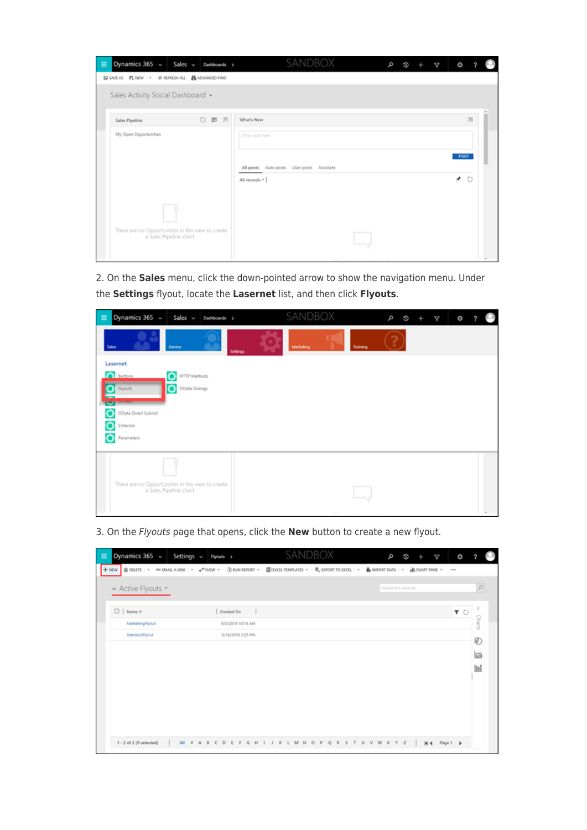| Dynamics $365 \sim$ Sales $\sim$ Dashboards ><br>田                           | SANDBOX                                                      | ø | 10 | ¢ | O           |         |  |
|------------------------------------------------------------------------------|--------------------------------------------------------------|---|----|---|-------------|---------|--|
| G-SAVE AS 『LINEW   - O REFRESH ALL 单ADVANCED FIND                            |                                                              |   |    |   |             |         |  |
| Sales Activity Social Dashboard v                                            |                                                              |   |    |   |             |         |  |
| 0 回 回<br>Sales Pipeline                                                      | <b>What's New</b>                                            |   |    |   |             | 园       |  |
| My Open Opportunities                                                        | Enter post here<br>All posts Auto posts User posts Assistant |   |    |   | <b>POST</b> |         |  |
|                                                                              | All records =                                                |   |    |   | *           | $\circ$ |  |
|                                                                              |                                                              |   |    |   |             |         |  |
| There are no Opportunities in this view to create<br>a Sales Pipeline chart. |                                                              |   |    |   |             |         |  |

2. On the **Sales** menu, click the down-pointed arrow to show the navigation menu. Under the **Settings** flyout, locate the **Lasernet** list, and then click **Flyouts**.

| Dynamics 365 v<br>田<br>Sales v Dashboards >                                  | SANDBOX                                  | ø | ø | ¢ | Ō |  |
|------------------------------------------------------------------------------|------------------------------------------|---|---|---|---|--|
| Service<br><b>Sales</b>                                                      | Marketing<br>Training<br><b>Settings</b> |   |   |   |   |  |
| Lasernet                                                                     |                                          |   |   |   |   |  |
| <b>O</b> Buttons<br><b>HTTP Methods</b>                                      |                                          |   |   |   |   |  |
| OData Dialogs<br><b>Flyouts</b>                                              |                                          |   |   |   |   |  |
| <b>SALE AND STATE</b>                                                        |                                          |   |   |   |   |  |
| OData Direct Submit<br>O                                                     |                                          |   |   |   |   |  |
| O<br>Criterion                                                               |                                          |   |   |   |   |  |
| O<br>Parameters                                                              |                                          |   |   |   |   |  |
|                                                                              |                                          |   |   |   |   |  |
|                                                                              |                                          |   |   |   |   |  |
|                                                                              |                                          |   |   |   |   |  |
| There are no Opportunities in this view to create<br>a Sales Pipeline chart. |                                          |   |   |   |   |  |
|                                                                              |                                          |   |   |   |   |  |
|                                                                              | $\sim$ 1.                                |   |   |   |   |  |

3. On the Flyouts page that opens, click the **New** button to create a new flyout.

| Dynamics 365 ~<br>m<br>Settings $\sim$                                    | Flyouts >                      | SANDBOX                                                                                                                                                                                                                               | b<br>G)<br>¢                                 | Ō             |
|---------------------------------------------------------------------------|--------------------------------|---------------------------------------------------------------------------------------------------------------------------------------------------------------------------------------------------------------------------------------|----------------------------------------------|---------------|
| + NEW BOELETE   - 40 EMAIL A LINK   - 0 <sup>0</sup> FLOW - BRUN REPORT - |                                | $[ \overline{\underline{\mathbf{0}}} ]$ EXCELTEMPLATES - $[ \overline{\mathbf{0}}_a$ EXPORT TO EXCEL $  \cdot  $ $\overline{\underline{\mathbf{0}}}$ import data $  \cdot  $ $\overline{\underline{\mathbf{1}}}$ chart pane $\cdot  $ |                                              |               |
| * Active Flyouts *                                                        |                                |                                                                                                                                                                                                                                       | Search for records                           | Q             |
| $\Box$   Name $\uparrow$                                                  | Created On<br>$\blacksquare$   |                                                                                                                                                                                                                                       |                                              | $T$ $\circ$   |
| MarketingFlyout                                                           | 9/5/2019 10:14 AM              |                                                                                                                                                                                                                                       |                                              | <b>Charts</b> |
| StandardFlyout                                                            | 5/16/2019 2:25 PM              |                                                                                                                                                                                                                                       |                                              | Ð             |
|                                                                           |                                |                                                                                                                                                                                                                                       |                                              |               |
|                                                                           |                                |                                                                                                                                                                                                                                       |                                              | les           |
|                                                                           |                                |                                                                                                                                                                                                                                       |                                              | <b>Ind</b>    |
|                                                                           |                                |                                                                                                                                                                                                                                       |                                              |               |
|                                                                           |                                |                                                                                                                                                                                                                                       |                                              |               |
|                                                                           |                                |                                                                                                                                                                                                                                       |                                              |               |
|                                                                           |                                |                                                                                                                                                                                                                                       |                                              |               |
|                                                                           |                                |                                                                                                                                                                                                                                       |                                              |               |
| 1 - 2 of 2 (0 selected)<br>$AII = 0$                                      | G<br>H<br>A B C<br>D<br>Ε<br>F | M<br>κ<br>N<br>$\circ$<br>R<br>$\mathsf{p}$<br>٥<br>$\mathbf{I}$<br>s<br>L                                                                                                                                                            | W<br>U<br>v<br>$\mathbf{x}$<br>Y.<br>z<br>H4 | Page 1        |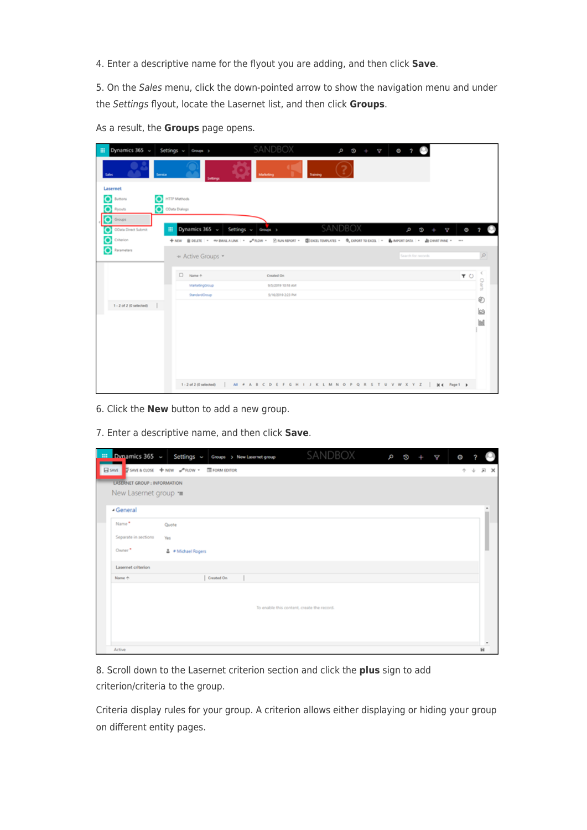4. Enter a descriptive name for the flyout you are adding, and then click **Save**.

5. On the Sales menu, click the down-pointed arrow to show the navigation menu and under the Settings flyout, locate the Lasernet list, and then click **Groups**.

| Dynamics 365 v<br>冊           | Settings v Groups >                                                                      | SANDBOX                                                  | ø<br>$\circ$ +<br>A | $Q = ?$            |           |
|-------------------------------|------------------------------------------------------------------------------------------|----------------------------------------------------------|---------------------|--------------------|-----------|
| Service<br>Sales              |                                                                                          | Marketing<br>Training                                    |                     |                    |           |
| Lasernet                      |                                                                                          |                                                          |                     |                    |           |
| o<br>O<br>Buttons             | <b>HTTP Methods</b>                                                                      |                                                          |                     |                    |           |
| O Ryouts                      | C Cluta Dialogs                                                                          |                                                          |                     |                    |           |
| $\bullet$ Groups              |                                                                                          |                                                          |                     |                    |           |
| OData Direct Submit<br>皿<br>О | Dynamics 365 ~                                                                           | Settings v Groups >                                      | SANDBOX             | Þ<br>¢<br>50       | $\circ$ ? |
| Ò<br>Criterion                | +NW BOUTE - @BARAUNK - #AOW - BRINNPORT - BIDORTRANGUTS - @DOORTRODOR - @BRINGEDASA - -- |                                                          |                     |                    |           |
| Ò<br>Parameters               | * Active Groups *                                                                        |                                                          |                     | Search for records | $\Omega$  |
|                               | $\square$ Name +                                                                         | Created On                                               |                     | $T$ 0              |           |
|                               | MarketingGroup                                                                           | 9/5/2019 10:18 AM                                        |                     |                    | Charts    |
|                               | StandardGroup                                                                            | 5/16/2019 2:23 PM                                        |                     |                    | Ø         |
| $1 - 2$ of $2$ (0 selected)   |                                                                                          |                                                          |                     |                    | b         |
|                               |                                                                                          |                                                          |                     |                    | Ы         |
|                               |                                                                                          |                                                          |                     |                    |           |
|                               |                                                                                          |                                                          |                     |                    |           |
|                               |                                                                                          |                                                          |                     |                    |           |
|                               |                                                                                          |                                                          |                     |                    |           |
|                               |                                                                                          |                                                          |                     |                    |           |
|                               | 1 - 2 of 2 (0 selected)                                                                  | AI # A B C D E F G H I J K L M N O P Q R S T U V W X Y Z |                     | H4 Page 1 b        |           |

As a result, the **Groups** page opens.

6. Click the **New** button to add a new group.

7. Enter a descriptive name, and then click **Save**.

| $\frac{1}{2}$ Dynamics 365 $\sim$ | Settings $\sim$        | Groups > New Lasemet group |                                            | SANDBOX | ۹ | ö | ₫ | O |   |                          |
|-----------------------------------|------------------------|----------------------------|--------------------------------------------|---------|---|---|---|---|---|--------------------------|
| El save                           | SAVE&CLOSE + NEW PROW- | <b>E FORM EDITOR</b>       |                                            |         |   |   |   |   |   | $\times$                 |
| LASERNET GROUP : INFORMATION      |                        |                            |                                            |         |   |   |   |   |   |                          |
| New Lasernet group =              |                        |                            |                                            |         |   |   |   |   |   |                          |
| - General                         |                        |                            |                                            |         |   |   |   |   |   |                          |
| Name*                             | Quote                  |                            |                                            |         |   |   |   |   |   |                          |
| Separate in sections              | Yes                    |                            |                                            |         |   |   |   |   |   |                          |
| Owner <sup>*</sup>                | * Michael Rogers       |                            |                                            |         |   |   |   |   |   |                          |
| Lasernet criterion                |                        |                            |                                            |         |   |   |   |   |   |                          |
| Name +                            |                        | Created On                 |                                            |         |   |   |   |   |   |                          |
|                                   |                        |                            | To enable this content, create the record. |         |   |   |   |   |   | $\overline{\phantom{a}}$ |
| Active                            |                        |                            |                                            |         |   |   |   |   | я |                          |

8. Scroll down to the Lasernet criterion section and click the **plus** sign to add criterion/criteria to the group.

Criteria display rules for your group. A criterion allows either displaying or hiding your group on different entity pages.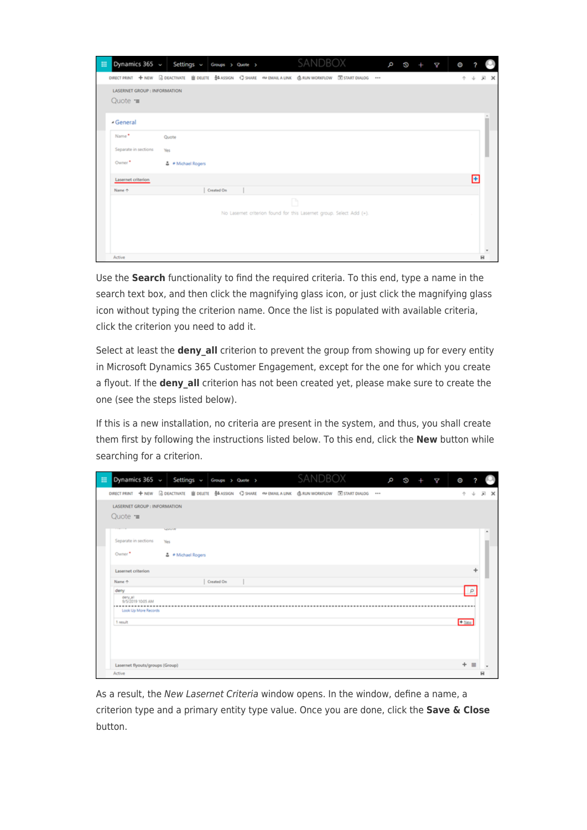| Dynamics 365 $\sim$ Settings $\sim$ Groups > Quote ><br>扭                                                    |                                    |            |  | SANDBOX                                                            |  | q<br>$\boldsymbol{\Omega}$ | ¢ | O |   |          |
|--------------------------------------------------------------------------------------------------------------|------------------------------------|------------|--|--------------------------------------------------------------------|--|----------------------------|---|---|---|----------|
| DIRECT PRINT + NEW G DEACTIVATE III DELETE \$4.ASSIGN < SHARE ON BAAL A LINK @ RUN WORKFLOW III START DIALOG |                                    |            |  |                                                                    |  |                            |   |   |   | $\times$ |
| LASERNET GROUP : INFORMATION<br>Quote $\equiv$                                                               |                                    |            |  |                                                                    |  |                            |   |   |   |          |
| - General                                                                                                    |                                    |            |  |                                                                    |  |                            |   |   |   |          |
| Name*<br>Separate in sections<br>Owner*                                                                      | Quote<br>Yes<br>≛ # Michael Rogers |            |  |                                                                    |  |                            |   |   |   |          |
| Lasernet criterion                                                                                           |                                    |            |  |                                                                    |  |                            |   |   | F |          |
| Name 4                                                                                                       |                                    | Created On |  |                                                                    |  |                            |   |   |   |          |
|                                                                                                              |                                    |            |  | D                                                                  |  |                            |   |   |   |          |
|                                                                                                              |                                    |            |  | No Lasemet criterion found for this Lasemet group. Select Add (+). |  |                            |   |   |   | ×        |
| Active                                                                                                       |                                    |            |  |                                                                    |  |                            |   |   |   | н        |

Use the **Search** functionality to find the required criteria. To this end, type a name in the search text box, and then click the magnifying glass icon, or just click the magnifying glass icon without typing the criterion name. Once the list is populated with available criteria, click the criterion you need to add it.

Select at least the **deny all** criterion to prevent the group from showing up for every entity in Microsoft Dynamics 365 Customer Engagement, except for the one for which you create a flyout. If the **deny all** criterion has not been created yet, please make sure to create the one (see the steps listed below).

If this is a new installation, no criteria are present in the system, and thus, you shall create them first by following the instructions listed below. To this end, click the **New** button while searching for a criterion.

| Dynamics 365 v Settings v Groups > Quote >                                                                                                                                                                                                                     |                    |            |  | SANDBOX |  | þ | 10 | ₫ | O       |          |            |
|----------------------------------------------------------------------------------------------------------------------------------------------------------------------------------------------------------------------------------------------------------------|--------------------|------------|--|---------|--|---|----|---|---------|----------|------------|
| DIRECT PRINT + NEW BOEACTIVATE BOELETE \$4,4551GN < SHARE <we &="" <="" a="" dialog="" email="" extart="" link="" run="" td="" workflow=""><td></td><td></td><td></td><td></td><td></td><td></td><td></td><td></td><td>办</td><td></td><td><b>x</b> x</td></we> |                    |            |  |         |  |   |    |   | 办       |          | <b>x</b> x |
| LASERNET GROUP : INFORMATION                                                                                                                                                                                                                                   |                    |            |  |         |  |   |    |   |         |          |            |
| Quote $\equiv$                                                                                                                                                                                                                                                 |                    |            |  |         |  |   |    |   |         |          |            |
|                                                                                                                                                                                                                                                                | <b>NAMES</b>       |            |  |         |  |   |    |   |         |          | ٠          |
| Separate in sections                                                                                                                                                                                                                                           | Yes                |            |  |         |  |   |    |   |         |          |            |
| Owner*                                                                                                                                                                                                                                                         | ≛ # Michael Rogers |            |  |         |  |   |    |   |         |          |            |
| Lasernet criterion                                                                                                                                                                                                                                             |                    |            |  |         |  |   |    |   |         | ÷        |            |
| Name 4                                                                                                                                                                                                                                                         |                    | Created On |  |         |  |   |    |   |         |          |            |
| deny                                                                                                                                                                                                                                                           |                    |            |  |         |  |   |    |   |         | $\Omega$ |            |
| dery <sub>s</sub> al<br>9/5/2019 10:05 AM<br><b><i><u>PERMIT</u></i></b>                                                                                                                                                                                       |                    |            |  |         |  |   |    |   |         |          |            |
| Look Up More Records                                                                                                                                                                                                                                           |                    |            |  |         |  |   |    |   |         |          |            |
| 1 result                                                                                                                                                                                                                                                       |                    |            |  |         |  |   |    |   | $+$ New |          |            |
|                                                                                                                                                                                                                                                                |                    |            |  |         |  |   |    |   |         |          |            |
|                                                                                                                                                                                                                                                                |                    |            |  |         |  |   |    |   |         |          |            |
|                                                                                                                                                                                                                                                                |                    |            |  |         |  |   |    |   |         |          |            |
| Lasernet flyouts/groups (Group)                                                                                                                                                                                                                                |                    |            |  |         |  |   |    |   |         | $+$ =    |            |
| Active                                                                                                                                                                                                                                                         |                    |            |  |         |  |   |    |   |         |          | я          |

As a result, the New Lasernet Criteria window opens. In the window, define a name, a criterion type and a primary entity type value. Once you are done, click the **Save & Close** button.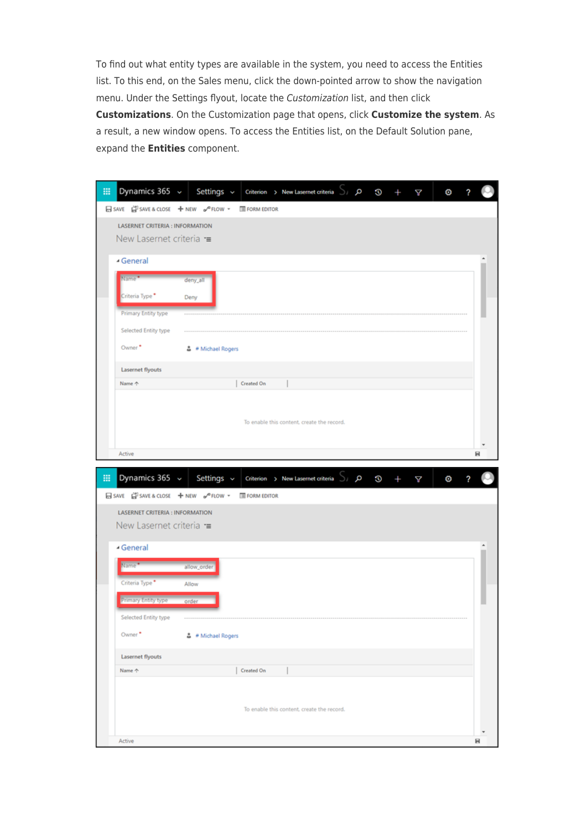To find out what entity types are available in the system, you need to access the Entities list. To this end, on the Sales menu, click the down-pointed arrow to show the navigation menu. Under the Settings flyout, locate the Customization list, and then click **Customizations**. On the Customization page that opens, click **Customize the system**. As a result, a new window opens. To access the Entities list, on the Default Solution pane, expand the **Entities** component.

| 冊 | Dynamics 365 v                                   | Settings $\sim$    |             | Criterion > New Lasernet criteria >                | م | O | Κ | Θ | 2 |   |
|---|--------------------------------------------------|--------------------|-------------|----------------------------------------------------|---|---|---|---|---|---|
|   | 日SAVE 自SAVE & CLOSE + NEW o <sup>no</sup> FLOW + |                    | FORM EDITOR |                                                    |   |   |   |   |   |   |
|   | <b>LASERNET CRITERIA : INFORMATION</b>           |                    |             |                                                    |   |   |   |   |   |   |
|   | New Lasernet criteria =                          |                    |             |                                                    |   |   |   |   |   |   |
|   | - General                                        |                    |             |                                                    |   |   |   |   |   |   |
|   | Name <sup>*</sup>                                | deny_all           |             |                                                    |   |   |   |   |   |   |
|   | Criteria Type <sup>*</sup>                       | Deny               |             |                                                    |   |   |   |   |   |   |
|   | Primary Entity type                              |                    |             |                                                    |   |   |   |   |   |   |
|   | Selected Entity type                             |                    |             |                                                    |   |   |   |   |   |   |
|   | Owner <sup>*</sup>                               | 흡 ● Michael Rogers |             |                                                    |   |   |   |   |   |   |
|   | Lasernet flyouts                                 |                    |             |                                                    |   |   |   |   |   |   |
|   | Name 个                                           |                    | Created On  |                                                    |   |   |   |   |   |   |
|   |                                                  |                    |             |                                                    |   |   |   |   |   |   |
|   |                                                  |                    |             | To enable this content, create the record.         |   |   |   |   |   |   |
|   |                                                  |                    |             |                                                    |   |   |   |   |   |   |
|   | Active                                           |                    |             |                                                    |   |   |   |   |   | н |
|   |                                                  |                    |             |                                                    |   |   |   |   |   |   |
|   |                                                  |                    |             |                                                    |   |   |   |   |   |   |
| m | Dynamics 365 v                                   | Settings ~         |             | Criterion > New Lasernet criteria $\bigcup$ $\rho$ |   | G | Δ | O | ? |   |
|   | 日SAVE 自 SAVE & CLOSE + NEW o <sup>p</sup> FLOW + |                    | FORM EDITOR |                                                    |   |   |   |   |   |   |
|   | <b>LASERNET CRITERIA : INFORMATION</b>           |                    |             |                                                    |   |   |   |   |   |   |
|   | New Lasernet criteria =                          |                    |             |                                                    |   |   |   |   |   |   |
|   | ▲ General                                        |                    |             |                                                    |   |   |   |   |   |   |
|   | Name <sup>*</sup>                                | allow_order        |             |                                                    |   |   |   |   |   |   |
|   | Criteria Type <sup>*</sup>                       | Allow              |             |                                                    |   |   |   |   |   |   |
|   | <b>Primary Entity type</b>                       | order              |             |                                                    |   |   |   |   |   |   |
|   | Selected Entity type                             |                    |             |                                                    |   |   |   |   |   |   |
|   | Owner <sup>*</sup>                               | ≛ # Michael Rogers |             |                                                    |   |   |   |   |   |   |
|   | Lasernet flyouts                                 |                    |             |                                                    |   |   |   |   |   |   |
|   | Name 个                                           |                    | Created On  |                                                    |   |   |   |   |   |   |
|   |                                                  |                    |             |                                                    |   |   |   |   |   |   |
|   |                                                  |                    |             | To enable this content, create the record.         |   |   |   |   |   |   |
|   |                                                  |                    |             |                                                    |   |   |   |   |   |   |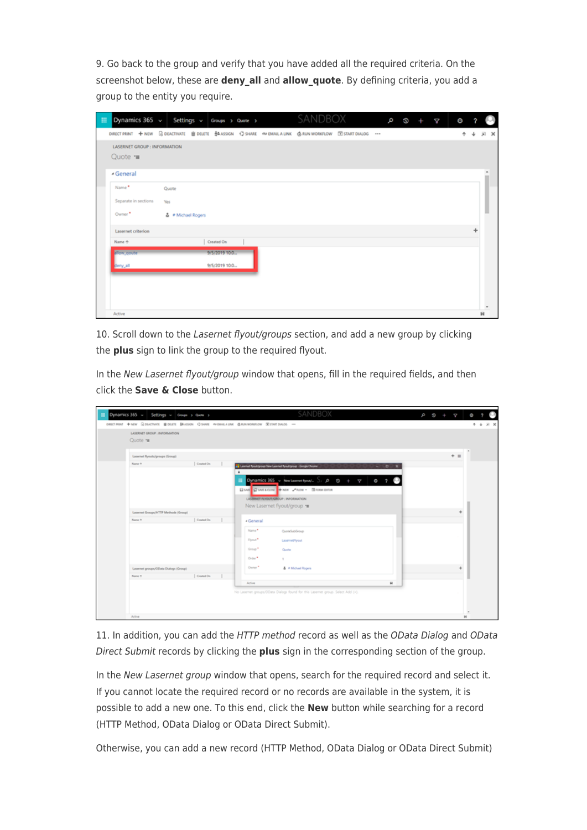9. Go back to the group and verify that you have added all the required criteria. On the screenshot below, these are **deny\_all** and **allow\_quote**. By defining criteria, you add a group to the entity you require.

| 扭 | Dynamics 365 $\sim$ Settings $\sim$ Groups > Quote >                                                                                                                                                                                               |                    |               |  | SANDBOX |  | م | ø | ¢ | O |                |
|---|----------------------------------------------------------------------------------------------------------------------------------------------------------------------------------------------------------------------------------------------------|--------------------|---------------|--|---------|--|---|---|---|---|----------------|
|   | DIRECT PRINT + NEW BOEACTIVATE BOELETE \$4,4551GN < SHARE <we <="" @="" a="" dialog="" email="" id="" link="" run="" start="" td="" workflow=""><td></td><td></td><td></td><td></td><td></td><td></td><td></td><td></td><td></td><td>× 反</td></we> |                    |               |  |         |  |   |   |   |   | × 反            |
|   | LASERNET GROUP : INFORMATION                                                                                                                                                                                                                       |                    |               |  |         |  |   |   |   |   |                |
|   | Quote $\equiv$                                                                                                                                                                                                                                     |                    |               |  |         |  |   |   |   |   |                |
|   | - General                                                                                                                                                                                                                                          |                    |               |  |         |  |   |   |   |   |                |
|   | Name*                                                                                                                                                                                                                                              | Quote              |               |  |         |  |   |   |   |   |                |
|   | Separate in sections                                                                                                                                                                                                                               | Yes                |               |  |         |  |   |   |   |   |                |
|   | Owner*                                                                                                                                                                                                                                             | A # Michael Rogers |               |  |         |  |   |   |   |   |                |
|   | Lasernet criterion                                                                                                                                                                                                                                 |                    |               |  |         |  |   |   |   |   |                |
|   | Name +                                                                                                                                                                                                                                             |                    | Created On    |  |         |  |   |   |   |   |                |
|   | allow goute                                                                                                                                                                                                                                        |                    | 9/5/2019 10:0 |  |         |  |   |   |   |   |                |
|   | deny_all                                                                                                                                                                                                                                           |                    | 9/5/2019 10:0 |  |         |  |   |   |   |   |                |
|   |                                                                                                                                                                                                                                                    |                    |               |  |         |  |   |   |   |   |                |
|   |                                                                                                                                                                                                                                                    |                    |               |  |         |  |   |   |   |   |                |
|   |                                                                                                                                                                                                                                                    |                    |               |  |         |  |   |   |   |   | $\blacksquare$ |
|   | Active                                                                                                                                                                                                                                             |                    |               |  |         |  |   |   |   |   | н              |

10. Scroll down to the Lasernet flyout/groups section, and add a new group by clicking the **plus** sign to link the group to the required flyout.

In the New Lasernet flyout/group window that opens, fill in the required fields, and then click the **Save & Close** button.

| Dynamics 365 v Settings v Groups > Gune >                                                  | SANDBOX                                                                                                                                                                                                                                  | <b>D</b> | $\circ$ +<br>¢ |     |                |
|--------------------------------------------------------------------------------------------|------------------------------------------------------------------------------------------------------------------------------------------------------------------------------------------------------------------------------------------|----------|----------------|-----|----------------|
| DRECTRINT + NEW GOLDENHOL @ DELTE \$4,000N CHANGE WIDERLAUNK @ RUN HORSTOW (ESTARTOALDS -- |                                                                                                                                                                                                                                          |          |                |     | $+ 8$ $\times$ |
| LASERNET GROUP : INFORMATION<br>Quote rm                                                   |                                                                                                                                                                                                                                          |          |                |     |                |
| Lasemet flyouts/groups (Group)                                                             |                                                                                                                                                                                                                                          |          | $+$ =          |     |                |
| Created On<br>Name 4                                                                       | <b>Ad Learnet Ryout group New Learnet Ryout group - Google Chrome</b><br>$-$ 0 $x$<br>٠<br>Dynamics 365 v Newtasenethous(  ) ; p<br>$9 + 9$<br>$\circ$<br>日SHE 日SHEACON   中MW J-ROW - 国 HORMEDICK<br>LASERNET FORDUT/GROUP : INFORMATION |          |                |     |                |
| Lasemet Groups/HTTP Methods (Group)                                                        | New Lasernet flyout/group =                                                                                                                                                                                                              |          |                |     |                |
| Counted On<br>Name 4                                                                       | - General                                                                                                                                                                                                                                |          |                |     |                |
|                                                                                            | Name <sup>+</sup><br>QuoteSubGroup<br>Flynut <sup>*</sup><br>LasemetRyout<br>Group. <sup>4</sup><br>Quote<br>Order <sup>*</sup><br>$\mathcal{H}$ .                                                                                       |          |                |     |                |
| Lasemet groups/OData Dialogs (Group)                                                       | Owner <sup>#</sup><br>& # Michael Rogers                                                                                                                                                                                                 |          |                |     |                |
| Created On<br>Name 4                                                                       | Active<br>H.<br>No Lasemet groups/OData Dialogs found for this Lasemet group. Select Add (+).                                                                                                                                            |          |                |     |                |
| Active                                                                                     |                                                                                                                                                                                                                                          |          |                | si. |                |

11. In addition, you can add the HTTP method record as well as the OData Dialog and OData Direct Submit records by clicking the **plus** sign in the corresponding section of the group.

In the New Lasernet group window that opens, search for the required record and select it. If you cannot locate the required record or no records are available in the system, it is possible to add a new one. To this end, click the **New** button while searching for a record (HTTP Method, OData Dialog or OData Direct Submit).

Otherwise, you can add a new record (HTTP Method, OData Dialog or OData Direct Submit)